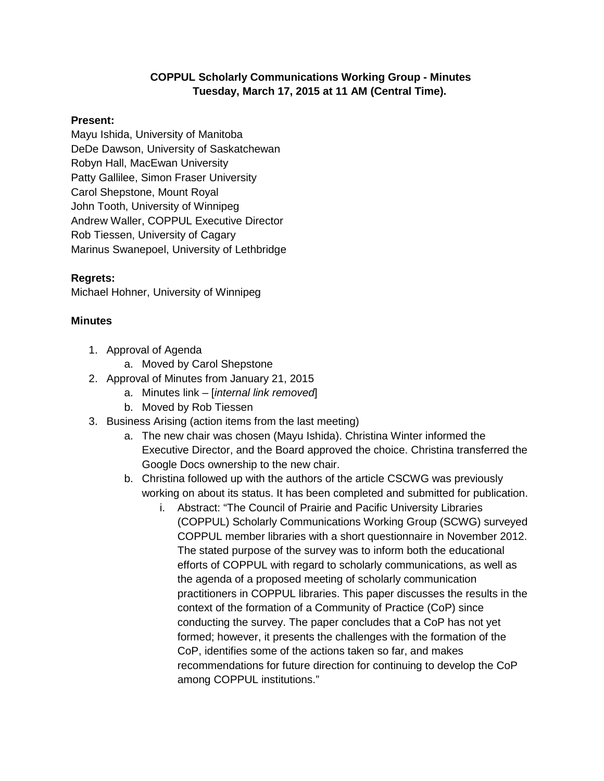## **COPPUL Scholarly Communications Working Group - Minutes Tuesday, March 17, 2015 at 11 AM (Central Time).**

## **Present:**

Mayu Ishida, University of Manitoba DeDe Dawson, University of Saskatchewan Robyn Hall, MacEwan University Patty Gallilee, Simon Fraser University Carol Shepstone, Mount Royal John Tooth, University of Winnipeg Andrew Waller, COPPUL Executive Director Rob Tiessen, University of Cagary Marinus Swanepoel, University of Lethbridge

## **Regrets:**

Michael Hohner, University of Winnipeg

## **Minutes**

- 1. Approval of Agenda
	- a. Moved by Carol Shepstone
- 2. Approval of Minutes from January 21, 2015
	- a. Minutes link [*internal link removed*]
	- b. Moved by Rob Tiessen
- 3. Business Arising (action items from the last meeting)
	- a. The new chair was chosen (Mayu Ishida). Christina Winter informed the Executive Director, and the Board approved the choice. Christina transferred the Google Docs ownership to the new chair.
	- b. Christina followed up with the authors of the article CSCWG was previously working on about its status. It has been completed and submitted for publication.
		- i. Abstract: "The Council of Prairie and Pacific University Libraries (COPPUL) Scholarly Communications Working Group (SCWG) surveyed COPPUL member libraries with a short questionnaire in November 2012. The stated purpose of the survey was to inform both the educational efforts of COPPUL with regard to scholarly communications, as well as the agenda of a proposed meeting of scholarly communication practitioners in COPPUL libraries. This paper discusses the results in the context of the formation of a Community of Practice (CoP) since conducting the survey. The paper concludes that a CoP has not yet formed; however, it presents the challenges with the formation of the CoP, identifies some of the actions taken so far, and makes recommendations for future direction for continuing to develop the CoP among COPPUL institutions."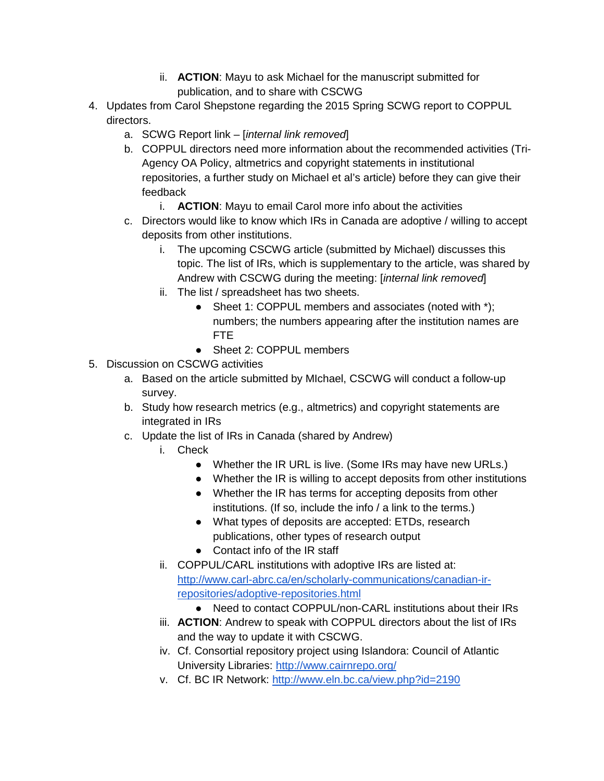- ii. **ACTION**: Mayu to ask Michael for the manuscript submitted for publication, and to share with CSCWG
- 4. Updates from Carol Shepstone regarding the 2015 Spring SCWG report to COPPUL directors.
	- a. SCWG Report link [*internal link removed*]
	- b. COPPUL directors need more information about the recommended activities (Tri-Agency OA Policy, altmetrics and copyright statements in institutional repositories, a further study on Michael et al's article) before they can give their feedback
		- i. **ACTION**: Mayu to email Carol more info about the activities
	- c. Directors would like to know which IRs in Canada are adoptive / willing to accept deposits from other institutions.
		- i. The upcoming CSCWG article (submitted by Michael) discusses this topic. The list of IRs, which is supplementary to the article, was shared by Andrew with CSCWG during the meeting: [*internal link removed*]
		- ii. The list / spreadsheet has two sheets.
			- Sheet 1: COPPUL members and associates (noted with \*); numbers; the numbers appearing after the institution names are FTE
			- Sheet 2: COPPUL members
- 5. Discussion on CSCWG activities
	- a. Based on the article submitted by MIchael, CSCWG will conduct a follow-up survey.
	- b. Study how research metrics (e.g., altmetrics) and copyright statements are integrated in IRs
	- c. Update the list of IRs in Canada (shared by Andrew)
		- i. Check
			- Whether the IR URL is live. (Some IRs may have new URLs.)
			- Whether the IR is willing to accept deposits from other institutions
			- Whether the IR has terms for accepting deposits from other institutions. (If so, include the info / a link to the terms.)
			- What types of deposits are accepted: ETDs, research publications, other types of research output
			- Contact info of the IR staff
		- ii. COPPUL/CARL institutions with adoptive IRs are listed at: [http://www.carl-abrc.ca/en/scholarly-communications/canadian-ir](http://www.carl-abrc.ca/en/scholarly-communications/canadian-ir-repositories/adoptive-repositories.html)[repositories/adoptive-repositories.html](http://www.carl-abrc.ca/en/scholarly-communications/canadian-ir-repositories/adoptive-repositories.html)
			- Need to contact COPPUL/non-CARL institutions about their IRs
		- iii. **ACTION**: Andrew to speak with COPPUL directors about the list of IRs and the way to update it with CSCWG.
		- iv. Cf. Consortial repository project using Islandora: Council of Atlantic University Libraries:<http://www.cairnrepo.org/>
		- v. Cf. BC IR Network:<http://www.eln.bc.ca/view.php?id=2190>